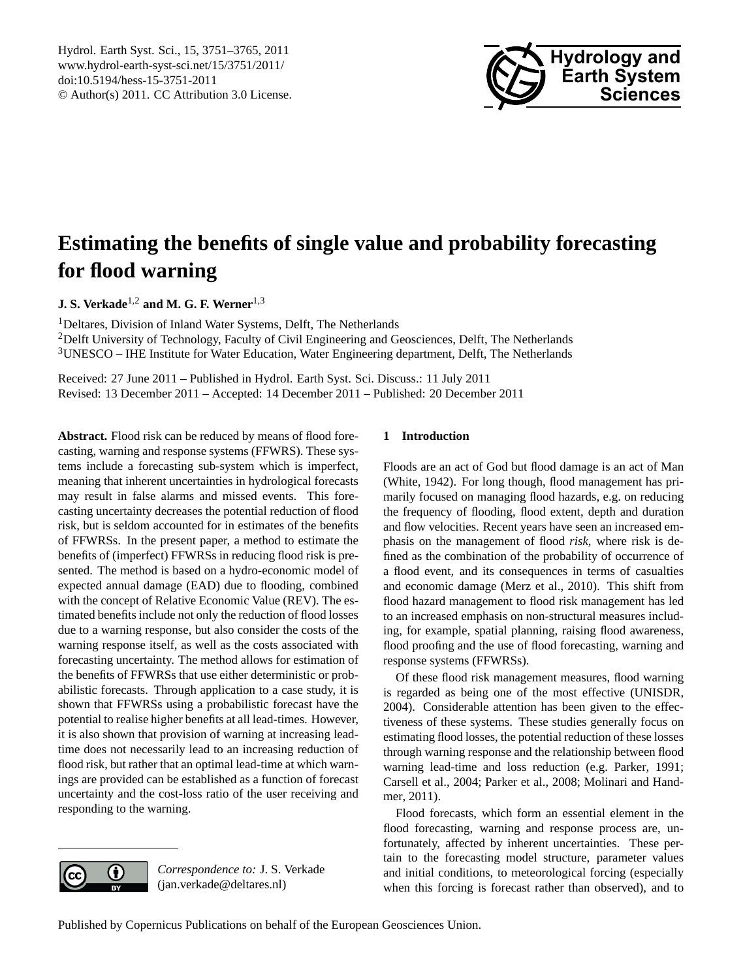

# <span id="page-0-0"></span>**Estimating the benefits of single value and probability forecasting for flood warning**

**J. S. Verkade**1,2 **and M. G. F. Werner**1,3

<sup>1</sup>Deltares, Division of Inland Water Systems, Delft, The Netherlands <sup>2</sup>Delft University of Technology, Faculty of Civil Engineering and Geosciences, Delft, The Netherlands <sup>3</sup>UNESCO – IHE Institute for Water Education, Water Engineering department, Delft, The Netherlands

Received: 27 June 2011 – Published in Hydrol. Earth Syst. Sci. Discuss.: 11 July 2011 Revised: 13 December 2011 – Accepted: 14 December 2011 – Published: 20 December 2011

Abstract. Flood risk can be reduced by means of flood forecasting, warning and response systems (FFWRS). These systems include a forecasting sub-system which is imperfect, meaning that inherent uncertainties in hydrological forecasts may result in false alarms and missed events. This forecasting uncertainty decreases the potential reduction of flood risk, but is seldom accounted for in estimates of the benefits of FFWRSs. In the present paper, a method to estimate the benefits of (imperfect) FFWRSs in reducing flood risk is presented. The method is based on a hydro-economic model of expected annual damage (EAD) due to flooding, combined with the concept of Relative Economic Value (REV). The estimated benefits include not only the reduction of flood losses due to a warning response, but also consider the costs of the warning response itself, as well as the costs associated with forecasting uncertainty. The method allows for estimation of the benefits of FFWRSs that use either deterministic or probabilistic forecasts. Through application to a case study, it is shown that FFWRSs using a probabilistic forecast have the potential to realise higher benefits at all lead-times. However, it is also shown that provision of warning at increasing leadtime does not necessarily lead to an increasing reduction of flood risk, but rather that an optimal lead-time at which warnings are provided can be established as a function of forecast uncertainty and the cost-loss ratio of the user receiving and responding to the warning.

# **1 Introduction**

Floods are an act of God but flood damage is an act of Man [\(White,](#page-14-0) [1942\)](#page-14-0). For long though, flood management has primarily focused on managing flood hazards, e.g. on reducing the frequency of flooding, flood extent, depth and duration and flow velocities. Recent years have seen an increased emphasis on the management of flood *risk*, where risk is defined as the combination of the probability of occurrence of a flood event, and its consequences in terms of casualties and economic damage [\(Merz et al.,](#page-13-0) [2010\)](#page-13-0). This shift from flood hazard management to flood risk management has led to an increased emphasis on non-structural measures including, for example, spatial planning, raising flood awareness, flood proofing and the use of flood forecasting, warning and response systems (FFWRSs).

Of these flood risk management measures, flood warning is regarded as being one of the most effective [\(UNISDR,](#page-13-1) [2004\)](#page-13-1). Considerable attention has been given to the effectiveness of these systems. These studies generally focus on estimating flood losses, the potential reduction of these losses through warning response and the relationship between flood warning lead-time and loss reduction (e.g. [Parker,](#page-13-2) [1991;](#page-13-2) [Carsell et al.,](#page-13-3) [2004;](#page-13-3) [Parker et al.,](#page-13-4) [2008;](#page-13-4) [Molinari and Hand](#page-13-5)[mer,](#page-13-5) [2011\)](#page-13-5).

Flood forecasts, which form an essential element in the flood forecasting, warning and response process are, unfortunately, affected by inherent uncertainties. These pertain to the forecasting model structure, parameter values and initial conditions, to meteorological forcing (especially when this forcing is forecast rather than observed), and to

*Correspondence to:* J. S. Verkade (jan.verkade@deltares.nl)

 $\left( \cdot \right)$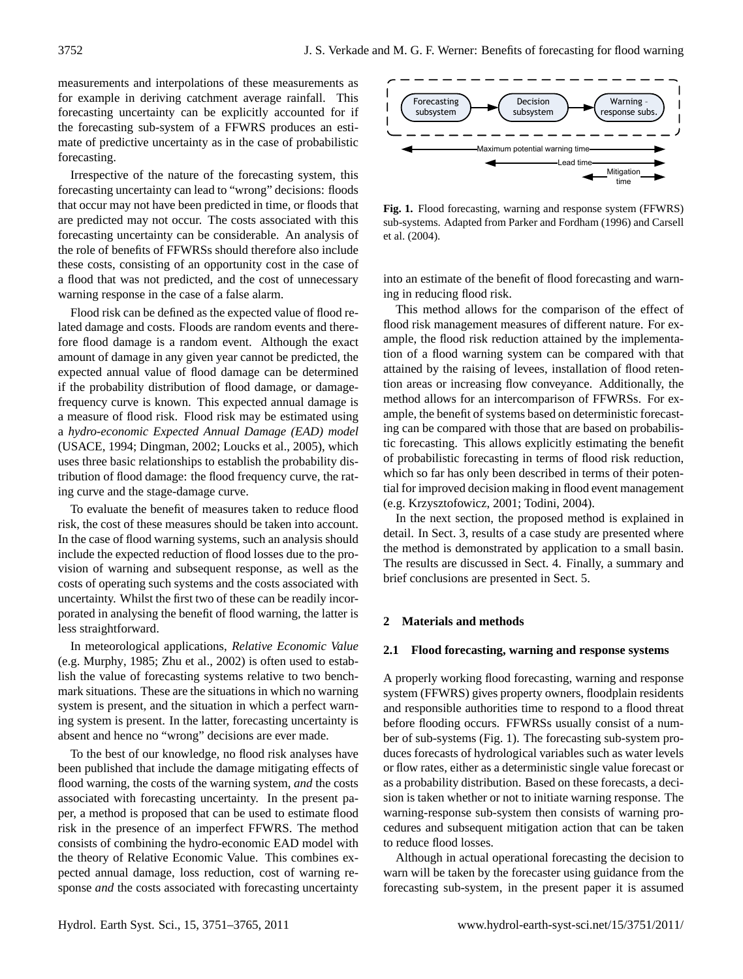measurements and interpolations of these measurements as for example in deriving catchment average rainfall. This forecasting uncertainty can be explicitly accounted for if the forecasting sub-system of a FFWRS produces an estimate of predictive uncertainty as in the case of probabilistic forecasting.

Irrespective of the nature of the forecasting system, this forecasting uncertainty can lead to "wrong" decisions: floods that occur may not have been predicted in time, or floods that are predicted may not occur. The costs associated with this forecasting uncertainty can be considerable. An analysis of the role of benefits of FFWRSs should therefore also include these costs, consisting of an opportunity cost in the case of a flood that was not predicted, and the cost of unnecessary warning response in the case of a false alarm.

Flood risk can be defined as the expected value of flood related damage and costs. Floods are random events and therefore flood damage is a random event. Although the exact amount of damage in any given year cannot be predicted, the expected annual value of flood damage can be determined if the probability distribution of flood damage, or damagefrequency curve is known. This expected annual damage is a measure of flood risk. Flood risk may be estimated using a *hydro-economic Expected Annual Damage (EAD) model* [\(USACE,](#page-13-6) [1994;](#page-13-6) [Dingman,](#page-13-7) [2002;](#page-13-7) [Loucks et al.,](#page-13-8) [2005\)](#page-13-8), which uses three basic relationships to establish the probability distribution of flood damage: the flood frequency curve, the rating curve and the stage-damage curve.

To evaluate the benefit of measures taken to reduce flood risk, the cost of these measures should be taken into account. In the case of flood warning systems, such an analysis should include the expected reduction of flood losses due to the provision of warning and subsequent response, as well as the costs of operating such systems and the costs associated with uncertainty. Whilst the first two of these can be readily incorporated in analysing the benefit of flood warning, the latter is less straightforward.

In meteorological applications, *Relative Economic Value* (e.g. [Murphy,](#page-13-9) [1985;](#page-13-9) [Zhu et al.,](#page-14-1) [2002\)](#page-14-1) is often used to establish the value of forecasting systems relative to two benchmark situations. These are the situations in which no warning system is present, and the situation in which a perfect warning system is present. In the latter, forecasting uncertainty is absent and hence no "wrong" decisions are ever made.

To the best of our knowledge, no flood risk analyses have been published that include the damage mitigating effects of flood warning, the costs of the warning system, *and* the costs associated with forecasting uncertainty. In the present paper, a method is proposed that can be used to estimate flood risk in the presence of an imperfect FFWRS. The method consists of combining the hydro-economic EAD model with the theory of Relative Economic Value. This combines expected annual damage, loss reduction, cost of warning response *and* the costs associated with forecasting uncertainty



<span id="page-1-0"></span>**Fig. 1.** Flood forecasting, warning and response system (FFWRS) sub-systems. Adapted from [Parker and Fordham](#page-13-10) [\(1996\)](#page-13-10) and [Carsell](#page-13-3) [et al.](#page-13-3) [\(2004\)](#page-13-3).

into an estimate of the benefit of flood forecasting and warning in reducing flood risk.

This method allows for the comparison of the effect of flood risk management measures of different nature. For example, the flood risk reduction attained by the implementation of a flood warning system can be compared with that attained by the raising of levees, installation of flood retention areas or increasing flow conveyance. Additionally, the method allows for an intercomparison of FFWRSs. For example, the benefit of systems based on deterministic forecasting can be compared with those that are based on probabilistic forecasting. This allows explicitly estimating the benefit of probabilistic forecasting in terms of flood risk reduction, which so far has only been described in terms of their potential for improved decision making in flood event management (e.g. [Krzysztofowicz,](#page-13-11) [2001;](#page-13-11) [Todini,](#page-13-12) [2004\)](#page-13-12).

In the next section, the proposed method is explained in detail. In Sect. [3,](#page-6-0) results of a case study are presented where the method is demonstrated by application to a small basin. The results are discussed in Sect. [4.](#page-11-0) Finally, a summary and brief conclusions are presented in Sect. [5.](#page-12-0)

## **2 Materials and methods**

#### <span id="page-1-1"></span>**2.1 Flood forecasting, warning and response systems**

A properly working flood forecasting, warning and response system (FFWRS) gives property owners, floodplain residents and responsible authorities time to respond to a flood threat before flooding occurs. FFWRSs usually consist of a number of sub-systems (Fig. [1\)](#page-1-0). The forecasting sub-system produces forecasts of hydrological variables such as water levels or flow rates, either as a deterministic single value forecast or as a probability distribution. Based on these forecasts, a decision is taken whether or not to initiate warning response. The warning-response sub-system then consists of warning procedures and subsequent mitigation action that can be taken to reduce flood losses.

Although in actual operational forecasting the decision to warn will be taken by the forecaster using guidance from the forecasting sub-system, in the present paper it is assumed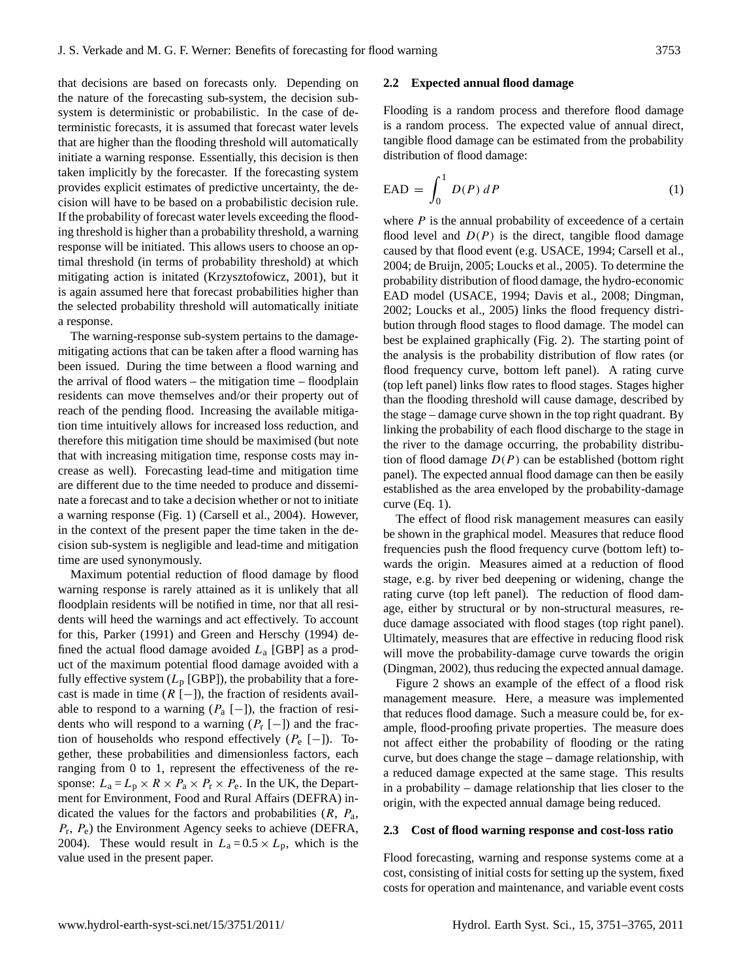that decisions are based on forecasts only. Depending on the nature of the forecasting sub-system, the decision subsystem is deterministic or probabilistic. In the case of deterministic forecasts, it is assumed that forecast water levels that are higher than the flooding threshold will automatically initiate a warning response. Essentially, this decision is then taken implicitly by the forecaster. If the forecasting system provides explicit estimates of predictive uncertainty, the decision will have to be based on a probabilistic decision rule. If the probability of forecast water levels exceeding the flooding threshold is higher than a probability threshold, a warning response will be initiated. This allows users to choose an optimal threshold (in terms of probability threshold) at which mitigating action is initated [\(Krzysztofowicz,](#page-13-11) [2001\)](#page-13-11), but it is again assumed here that forecast probabilities higher than the selected probability threshold will automatically initiate a response.

The warning-response sub-system pertains to the damagemitigating actions that can be taken after a flood warning has been issued. During the time between a flood warning and the arrival of flood waters – the mitigation time – floodplain residents can move themselves and/or their property out of reach of the pending flood. Increasing the available mitigation time intuitively allows for increased loss reduction, and therefore this mitigation time should be maximised (but note that with increasing mitigation time, response costs may increase as well). Forecasting lead-time and mitigation time are different due to the time needed to produce and disseminate a forecast and to take a decision whether or not to initiate a warning response (Fig. [1\)](#page-1-0) [\(Carsell et al.,](#page-13-3) [2004\)](#page-13-3). However, in the context of the present paper the time taken in the decision sub-system is negligible and lead-time and mitigation time are used synonymously.

Maximum potential reduction of flood damage by flood warning response is rarely attained as it is unlikely that all floodplain residents will be notified in time, nor that all residents will heed the warnings and act effectively. To account for this, [Parker](#page-13-2) [\(1991\)](#page-13-2) and [Green and Herschy](#page-13-13) [\(1994\)](#page-13-13) defined the actual flood damage avoided  $L_a$  [GBP] as a product of the maximum potential flood damage avoided with a fully effective system  $(L_p$  [GBP]), the probability that a forecast is made in time  $(R [-])$ , the fraction of residents available to respond to a warning  $(P_a [-])$ , the fraction of residents who will respond to a warning  $(P_r [-])$  and the fraction of households who respond effectively  $(P_e \, [-])$ . Together, these probabilities and dimensionless factors, each ranging from 0 to 1, represent the effectiveness of the response:  $L_a = L_p \times R \times P_a \times P_r \times P_e$ . In the UK, the Department for Environment, Food and Rural Affairs (DEFRA) indicated the values for the factors and probabilities  $(R, P_a, P_a)$ Pr , Pe) the Environment Agency seeks to achieve [\(DEFRA,](#page-13-14) [2004\)](#page-13-14). These would result in  $L_a = 0.5 \times L_p$ , which is the value used in the present paper.

#### **2.2 Expected annual flood damage**

Flooding is a random process and therefore flood damage is a random process. The expected value of annual direct, tangible flood damage can be estimated from the probability distribution of flood damage:

<span id="page-2-0"></span>
$$
EAD = \int_0^1 D(P) \, dP \tag{1}
$$

where  $P$  is the annual probability of exceedence of a certain flood level and  $D(P)$  is the direct, tangible flood damage caused by that flood event (e.g. [USACE,](#page-13-6) [1994;](#page-13-6) [Carsell et al.,](#page-13-3) [2004;](#page-13-3) [de Bruijn,](#page-13-15) [2005;](#page-13-15) [Loucks et al.,](#page-13-8) [2005\)](#page-13-8). To determine the probability distribution of flood damage, the hydro-economic EAD model [\(USACE,](#page-13-6) [1994;](#page-13-6) [Davis et al.,](#page-13-16) [2008;](#page-13-16) [Dingman,](#page-13-7) [2002;](#page-13-7) [Loucks et al.,](#page-13-8) [2005\)](#page-13-8) links the flood frequency distribution through flood stages to flood damage. The model can best be explained graphically (Fig. [2\)](#page-3-0). The starting point of the analysis is the probability distribution of flow rates (or flood frequency curve, bottom left panel). A rating curve (top left panel) links flow rates to flood stages. Stages higher than the flooding threshold will cause damage, described by the stage – damage curve shown in the top right quadrant. By linking the probability of each flood discharge to the stage in the river to the damage occurring, the probability distribution of flood damage  $D(P)$  can be established (bottom right panel). The expected annual flood damage can then be easily established as the area enveloped by the probability-damage curve (Eq. [1\)](#page-2-0).

The effect of flood risk management measures can easily be shown in the graphical model. Measures that reduce flood frequencies push the flood frequency curve (bottom left) towards the origin. Measures aimed at a reduction of flood stage, e.g. by river bed deepening or widening, change the rating curve (top left panel). The reduction of flood damage, either by structural or by non-structural measures, reduce damage associated with flood stages (top right panel). Ultimately, measures that are effective in reducing flood risk will move the probability-damage curve towards the origin [\(Dingman,](#page-13-7) [2002\)](#page-13-7), thus reducing the expected annual damage.

Figure [2](#page-3-0) shows an example of the effect of a flood risk management measure. Here, a measure was implemented that reduces flood damage. Such a measure could be, for example, flood-proofing private properties. The measure does not affect either the probability of flooding or the rating curve, but does change the stage – damage relationship, with a reduced damage expected at the same stage. This results in a probability – damage relationship that lies closer to the origin, with the expected annual damage being reduced.

#### **2.3 Cost of flood warning response and cost-loss ratio**

Flood forecasting, warning and response systems come at a cost, consisting of initial costs for setting up the system, fixed costs for operation and maintenance, and variable event costs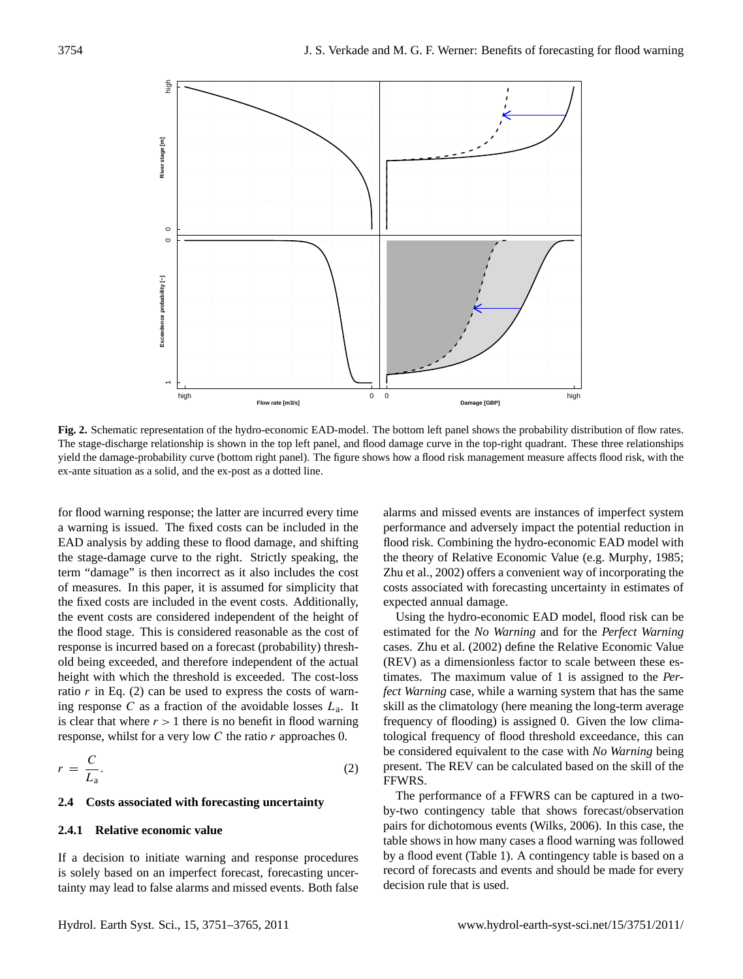

<span id="page-3-0"></span>**Fig. 2.** Schematic representation of the hydro-economic EAD-model. The bottom left panel shows the probability distribution of flow rates. The stage-discharge relationship is shown in the top left panel, and flood damage curve in the top-right quadrant. These three relationships yield the damage-probability curve (bottom right panel). The figure shows how a flood risk management measure affects flood risk, with the ex-ante situation as a solid, and the ex-post as a dotted line.

for flood warning response; the latter are incurred every time a warning is issued. The fixed costs can be included in the EAD analysis by adding these to flood damage, and shifting the stage-damage curve to the right. Strictly speaking, the term "damage" is then incorrect as it also includes the cost of measures. In this paper, it is assumed for simplicity that the fixed costs are included in the event costs. Additionally, the event costs are considered independent of the height of the flood stage. This is considered reasonable as the cost of response is incurred based on a forecast (probability) threshold being exceeded, and therefore independent of the actual height with which the threshold is exceeded. The cost-loss ratio  $r$  in Eq. [\(2\)](#page-3-1) can be used to express the costs of warning response C as a fraction of the avoidable losses  $L_a$ . It is clear that where  $r > 1$  there is no benefit in flood warning response, whilst for a very low C the ratio r approaches 0.

<span id="page-3-1"></span>
$$
r = \frac{C}{L_a}.\tag{2}
$$

#### **2.4 Costs associated with forecasting uncertainty**

#### **2.4.1 Relative economic value**

If a decision to initiate warning and response procedures is solely based on an imperfect forecast, forecasting uncertainty may lead to false alarms and missed events. Both false alarms and missed events are instances of imperfect system performance and adversely impact the potential reduction in flood risk. Combining the hydro-economic EAD model with the theory of Relative Economic Value (e.g. [Murphy,](#page-13-9) [1985;](#page-13-9) [Zhu et al.,](#page-14-1) [2002\)](#page-14-1) offers a convenient way of incorporating the costs associated with forecasting uncertainty in estimates of expected annual damage.

Using the hydro-economic EAD model, flood risk can be estimated for the *No Warning* and for the *Perfect Warning* cases. [Zhu et al.](#page-14-1) [\(2002\)](#page-14-1) define the Relative Economic Value (REV) as a dimensionless factor to scale between these estimates. The maximum value of 1 is assigned to the *Perfect Warning* case, while a warning system that has the same skill as the climatology (here meaning the long-term average frequency of flooding) is assigned 0. Given the low climatological frequency of flood threshold exceedance, this can be considered equivalent to the case with *No Warning* being present. The REV can be calculated based on the skill of the FFWRS.

The performance of a FFWRS can be captured in a twoby-two contingency table that shows forecast/observation pairs for dichotomous events [\(Wilks,](#page-14-2) [2006\)](#page-14-2). In this case, the table shows in how many cases a flood warning was followed by a flood event (Table [1\)](#page-4-0). A contingency table is based on a record of forecasts and events and should be made for every decision rule that is used.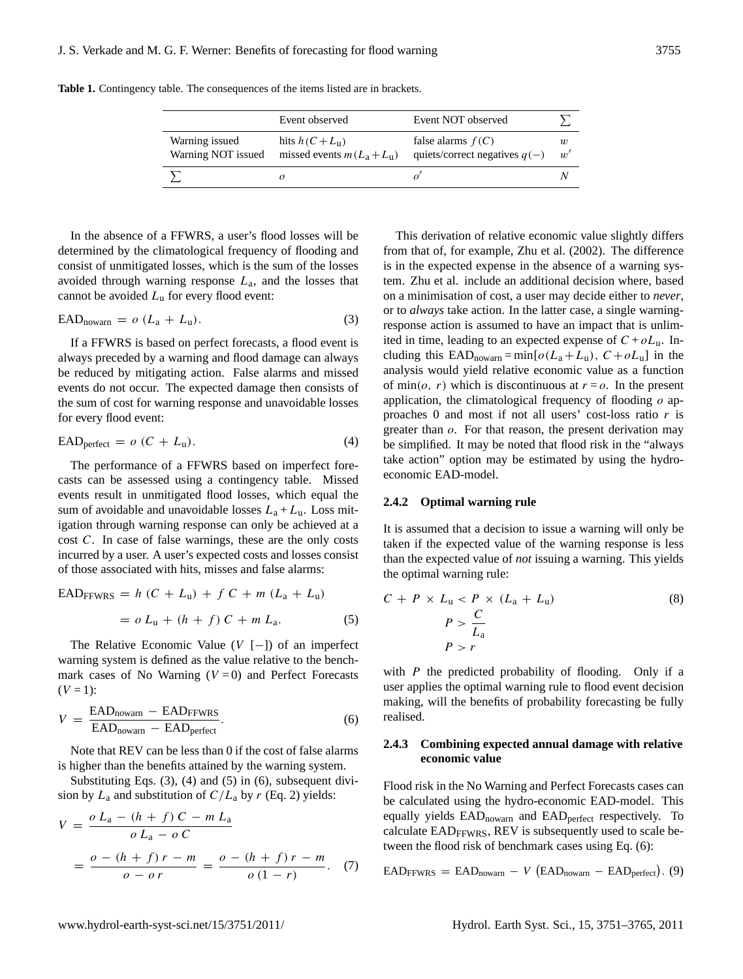<span id="page-4-0"></span>**Table 1.** Contingency table. The consequences of the items listed are in brackets.

|                                      | Event observed                                  | Event NOT observed                                     |         |
|--------------------------------------|-------------------------------------------------|--------------------------------------------------------|---------|
| Warning issued<br>Warning NOT issued | hits $h(C+L_0)$<br>missed events $m(L_a + L_u)$ | false alarms $f(C)$<br>quiets/correct negatives $q(-)$ | w<br>w' |
|                                      |                                                 |                                                        |         |

In the absence of a FFWRS, a user's flood losses will be determined by the climatological frequency of flooding and consist of unmitigated losses, which is the sum of the losses avoided through warning response  $L_a$ , and the losses that cannot be avoided  $L<sub>u</sub>$  for every flood event:

<span id="page-4-1"></span>
$$
EADnowarn = o (La + Lu).
$$
\n(3)

If a FFWRS is based on perfect forecasts, a flood event is always preceded by a warning and flood damage can always be reduced by mitigating action. False alarms and missed events do not occur. The expected damage then consists of the sum of cost for warning response and unavoidable losses for every flood event:

<span id="page-4-2"></span>
$$
EAD_{perfect} = o (C + L_u).
$$
 (4)

The performance of a FFWRS based on imperfect forecasts can be assessed using a contingency table. Missed events result in unmitigated flood losses, which equal the sum of avoidable and unavoidable losses  $L_a + L_u$ . Loss mitigation through warning response can only be achieved at a cost C. In case of false warnings, these are the only costs incurred by a user. A user's expected costs and losses consist of those associated with hits, misses and false alarms:

<span id="page-4-3"></span>EAD<sub>FFWRS</sub> = 
$$
h (C + L_u) + f C + m (L_a + L_u)
$$
  
=  $o L_u + (h + f) C + m L_a.$  (5)

The Relative Economic Value ( $V$  [−]) of an imperfect warning system is defined as the value relative to the benchmark cases of No Warning  $(V = 0)$  and Perfect Forecasts  $(V = 1)$ :

<span id="page-4-4"></span>
$$
V = \frac{\text{EAD}_{\text{nowarn}} - \text{EAD}_{\text{FFWRS}}}{\text{EAD}_{\text{nowarn}} - \text{EAD}_{\text{perfect}}}. \tag{6}
$$

Note that REV can be less than 0 if the cost of false alarms is higher than the benefits attained by the warning system.

Substituting Eqs. [\(3\)](#page-4-1), [\(4\)](#page-4-2) and [\(5\)](#page-4-3) in [\(6\)](#page-4-4), subsequent division by  $L_a$  and substitution of  $C/L_a$  by r (Eq. [2\)](#page-3-1) yields:

<span id="page-4-5"></span>
$$
V = \frac{o L_a - (h + f) C - m L_a}{o L_a - o C}
$$
  
= 
$$
\frac{o - (h + f) r - m}{o - o r} = \frac{o - (h + f) r - m}{o (1 - r)}.
$$
 (7)

This derivation of relative economic value slightly differs from that of, for example, [Zhu et al.](#page-14-1) [\(2002\)](#page-14-1). The difference is in the expected expense in the absence of a warning system. [Zhu et al.](#page-14-1) include an additional decision where, based on a minimisation of cost, a user may decide either to *never*, or to *always* take action. In the latter case, a single warningresponse action is assumed to have an impact that is unlimited in time, leading to an expected expense of  $C + oL_u$ . Including this  $EAD_{\text{nowarn}} = \min[\rho(L_a + L_u), C + oL_u]$  in the analysis would yield relative economic value as a function of min(*o*, *r*) which is discontinuous at  $r = 0$ . In the present application, the climatological frequency of flooding  $\sigma$  approaches 0 and most if not all users' cost-loss ratio  $r$  is greater than o. For that reason, the present derivation may be simplified. It may be noted that flood risk in the "always take action" option may be estimated by using the hydroeconomic EAD-model.

#### **2.4.2 Optimal warning rule**

It is assumed that a decision to issue a warning will only be taken if the expected value of the warning response is less than the expected value of *not* issuing a warning. This yields the optimal warning rule:

$$
C + P \times L_{\mathbf{u}} < P \times (L_{\mathbf{a}} + L_{\mathbf{u}}) \tag{8}
$$
\n
$$
P > \frac{C}{L_{\mathbf{a}}}
$$
\n
$$
P > r
$$

with  $P$  the predicted probability of flooding. Only if a user applies the optimal warning rule to flood event decision making, will the benefits of probability forecasting be fully realised.

## **2.4.3 Combining expected annual damage with relative economic value**

Flood risk in the No Warning and Perfect Forecasts cases can be calculated using the hydro-economic EAD-model. This equally yields EAD<sub>nowarn</sub> and EAD<sub>perfect</sub> respectively. To calculate EAD<sub>FFWRS</sub>, REV is subsequently used to scale between the flood risk of benchmark cases using Eq. [\(6\)](#page-4-4):

<span id="page-4-6"></span>
$$
EAD_{FFWRS} = EAD_{nowarn} - V (EAD_{nowarn} - EAD_{perfect}). (9)
$$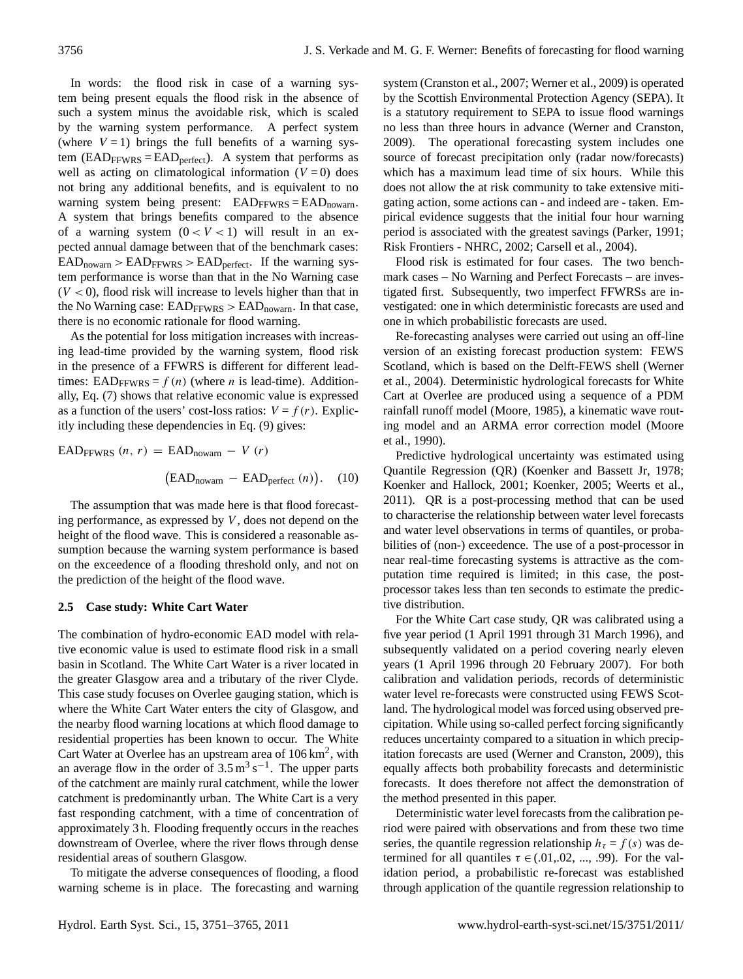In words: the flood risk in case of a warning system being present equals the flood risk in the absence of such a system minus the avoidable risk, which is scaled by the warning system performance. A perfect system (where  $V = 1$ ) brings the full benefits of a warning system  $(EAD<sub>FFWRS</sub> = EAD<sub>perfect</sub>)$ . A system that performs as well as acting on climatological information  $(V = 0)$  does not bring any additional benefits, and is equivalent to no warning system being present:  $EAD<sub>FFWRS</sub> = EAD<sub>nowarn</sub>$ . A system that brings benefits compared to the absence of a warning system  $(0 < V < 1)$  will result in an expected annual damage between that of the benchmark cases:  $EAD_{nowarn} > EAD_{FFWRS} > EAD_{perfect}$ . If the warning system performance is worse than that in the No Warning case  $(V < 0)$ , flood risk will increase to levels higher than that in the No Warning case:  $EAD_{FFWRS} > EAD_{nowarn}$ . In that case, there is no economic rationale for flood warning.

As the potential for loss mitigation increases with increasing lead-time provided by the warning system, flood risk in the presence of a FFWRS is different for different leadtimes: EAD<sub>FFWRS</sub> =  $f(n)$  (where *n* is lead-time). Additionally, Eq. [\(7\)](#page-4-5) shows that relative economic value is expressed as a function of the users' cost-loss ratios:  $V = f(r)$ . Explicitly including these dependencies in Eq. [\(9\)](#page-4-6) gives:

<span id="page-5-0"></span>EAD<sub>FFWRS</sub> 
$$
(n, r)
$$
 = EAD<sub>nowarn</sub> -  $V(r)$   
(EAD<sub>nowarn</sub> - EAD<sub>perfect</sub>  $(n)$ ). (10)

The assumption that was made here is that flood forecasting performance, as expressed by  $V$ , does not depend on the height of the flood wave. This is considered a reasonable assumption because the warning system performance is based on the exceedence of a flooding threshold only, and not on the prediction of the height of the flood wave.

## **2.5 Case study: White Cart Water**

The combination of hydro-economic EAD model with relative economic value is used to estimate flood risk in a small basin in Scotland. The White Cart Water is a river located in the greater Glasgow area and a tributary of the river Clyde. This case study focuses on Overlee gauging station, which is where the White Cart Water enters the city of Glasgow, and the nearby flood warning locations at which flood damage to residential properties has been known to occur. The White Cart Water at Overlee has an upstream area of  $106 \text{ km}^2$ , with an average flow in the order of  $3.5 \text{ m}^3 \text{ s}^{-1}$ . The upper parts of the catchment are mainly rural catchment, while the lower catchment is predominantly urban. The White Cart is a very fast responding catchment, with a time of concentration of approximately 3 h. Flooding frequently occurs in the reaches downstream of Overlee, where the river flows through dense residential areas of southern Glasgow.

To mitigate the adverse consequences of flooding, a flood warning scheme is in place. The forecasting and warning

system [\(Cranston et al.,](#page-13-17) [2007;](#page-13-17) [Werner et al.,](#page-14-3) [2009\)](#page-14-3) is operated by the Scottish Environmental Protection Agency (SEPA). It is a statutory requirement to SEPA to issue flood warnings no less than three hours in advance [\(Werner and Cranston,](#page-14-4) [2009\)](#page-14-4). The operational forecasting system includes one source of forecast precipitation only (radar now/forecasts) which has a maximum lead time of six hours. While this does not allow the at risk community to take extensive mitigating action, some actions can - and indeed are - taken. Empirical evidence suggests that the initial four hour warning period is associated with the greatest savings [\(Parker,](#page-13-2) [1991;](#page-13-2) [Risk Frontiers - NHRC,](#page-13-18) [2002;](#page-13-18) [Carsell et al.,](#page-13-3) [2004\)](#page-13-3).

Flood risk is estimated for four cases. The two benchmark cases – No Warning and Perfect Forecasts – are investigated first. Subsequently, two imperfect FFWRSs are investigated: one in which deterministic forecasts are used and one in which probabilistic forecasts are used.

Re-forecasting analyses were carried out using an off-line version of an existing forecast production system: FEWS Scotland, which is based on the Delft-FEWS shell [\(Werner](#page-14-5) [et al.,](#page-14-5) [2004\)](#page-14-5). Deterministic hydrological forecasts for White Cart at Overlee are produced using a sequence of a PDM rainfall runoff model [\(Moore,](#page-13-19) [1985\)](#page-13-19), a kinematic wave routing model and an ARMA error correction model [\(Moore](#page-13-20) [et al.,](#page-13-20) [1990\)](#page-13-20).

Predictive hydrological uncertainty was estimated using Quantile Regression (QR) [\(Koenker and Bassett Jr,](#page-13-21) [1978;](#page-13-21) [Koenker and Hallock,](#page-13-22) [2001;](#page-13-22) [Koenker,](#page-13-23) [2005;](#page-13-23) [Weerts et al.,](#page-14-6) [2011\)](#page-14-6). QR is a post-processing method that can be used to characterise the relationship between water level forecasts and water level observations in terms of quantiles, or probabilities of (non-) exceedence. The use of a post-processor in near real-time forecasting systems is attractive as the computation time required is limited; in this case, the postprocessor takes less than ten seconds to estimate the predictive distribution.

For the White Cart case study, QR was calibrated using a five year period (1 April 1991 through 31 March 1996), and subsequently validated on a period covering nearly eleven years (1 April 1996 through 20 February 2007). For both calibration and validation periods, records of deterministic water level re-forecasts were constructed using FEWS Scotland. The hydrological model was forced using observed precipitation. While using so-called perfect forcing significantly reduces uncertainty compared to a situation in which precipitation forecasts are used [\(Werner and Cranston,](#page-14-4) [2009\)](#page-14-4), this equally affects both probability forecasts and deterministic forecasts. It does therefore not affect the demonstration of the method presented in this paper.

Deterministic water level forecasts from the calibration period were paired with observations and from these two time series, the quantile regression relationship  $h<sub>\tau</sub> = f(s)$  was determined for all quantiles  $\tau \in (0.01, 0.02, ..., 0.99)$ . For the validation period, a probabilistic re-forecast was established through application of the quantile regression relationship to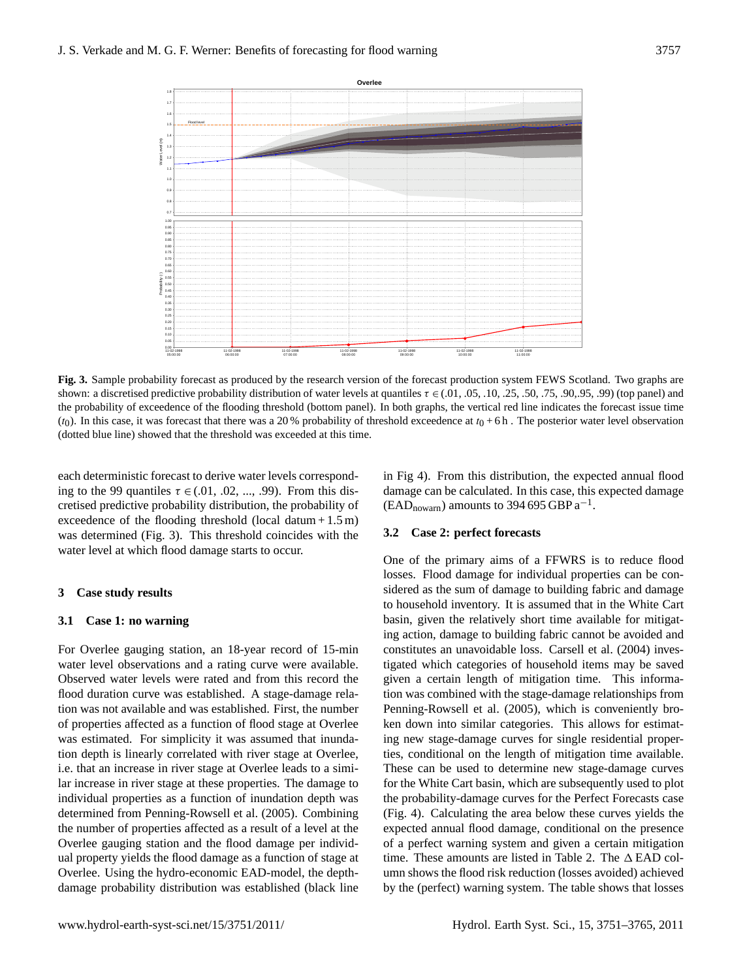

<span id="page-6-1"></span>**Fig. 3.** Sample probability forecast as produced by the research version of the forecast production system FEWS Scotland. Two graphs are shown: a discretised predictive probability distribution of water levels at quantiles  $\tau \in (0.01, 0.05, 10, 0.25, 0.50, 0.75, 0.90, 95, 0.99)$  (top panel) and the probability of exceedence of the flooding threshold (bottom panel). In both graphs, the vertical red line indicates the forecast issue time  $(t_0)$ . In this case, it was forecast that there was a 20% probability of threshold exceedence at  $t_0 + 6$  h. The posterior water level observation (dotted blue line) showed that the threshold was exceeded at this time.

each deterministic forecast to derive water levels corresponding to the 99 quantiles  $\tau \in (0.01, 0.02, ..., 0.99)$ . From this discretised predictive probability distribution, the probability of exceedence of the flooding threshold (local datum  $+1.5$  m) was determined (Fig. [3\)](#page-6-1). This threshold coincides with the water level at which flood damage starts to occur.

#### <span id="page-6-0"></span>**3 Case study results**

#### **3.1 Case 1: no warning**

For Overlee gauging station, an 18-year record of 15-min water level observations and a rating curve were available. Observed water levels were rated and from this record the flood duration curve was established. A stage-damage relation was not available and was established. First, the number of properties affected as a function of flood stage at Overlee was estimated. For simplicity it was assumed that inundation depth is linearly correlated with river stage at Overlee, i.e. that an increase in river stage at Overlee leads to a similar increase in river stage at these properties. The damage to individual properties as a function of inundation depth was determined from [Penning-Rowsell et al.](#page-13-24) [\(2005\)](#page-13-24). Combining the number of properties affected as a result of a level at the Overlee gauging station and the flood damage per individual property yields the flood damage as a function of stage at Overlee. Using the hydro-economic EAD-model, the depthdamage probability distribution was established (black line in Fig [4\)](#page-7-0). From this distribution, the expected annual flood damage can be calculated. In this case, this expected damage  $(EAD<sub>nowarn</sub>)$  amounts to 394 695 GBP  $a<sup>-1</sup>$ .

#### **3.2 Case 2: perfect forecasts**

One of the primary aims of a FFWRS is to reduce flood losses. Flood damage for individual properties can be considered as the sum of damage to building fabric and damage to household inventory. It is assumed that in the White Cart basin, given the relatively short time available for mitigating action, damage to building fabric cannot be avoided and constitutes an unavoidable loss. [Carsell et al.](#page-13-3) [\(2004\)](#page-13-3) investigated which categories of household items may be saved given a certain length of mitigation time. This information was combined with the stage-damage relationships from [Penning-Rowsell et al.](#page-13-24) [\(2005\)](#page-13-24), which is conveniently broken down into similar categories. This allows for estimating new stage-damage curves for single residential properties, conditional on the length of mitigation time available. These can be used to determine new stage-damage curves for the White Cart basin, which are subsequently used to plot the probability-damage curves for the Perfect Forecasts case (Fig. [4\)](#page-7-0). Calculating the area below these curves yields the expected annual flood damage, conditional on the presence of a perfect warning system and given a certain mitigation time. These amounts are listed in Table [2.](#page-7-1) The  $\triangle$  EAD column shows the flood risk reduction (losses avoided) achieved by the (perfect) warning system. The table shows that losses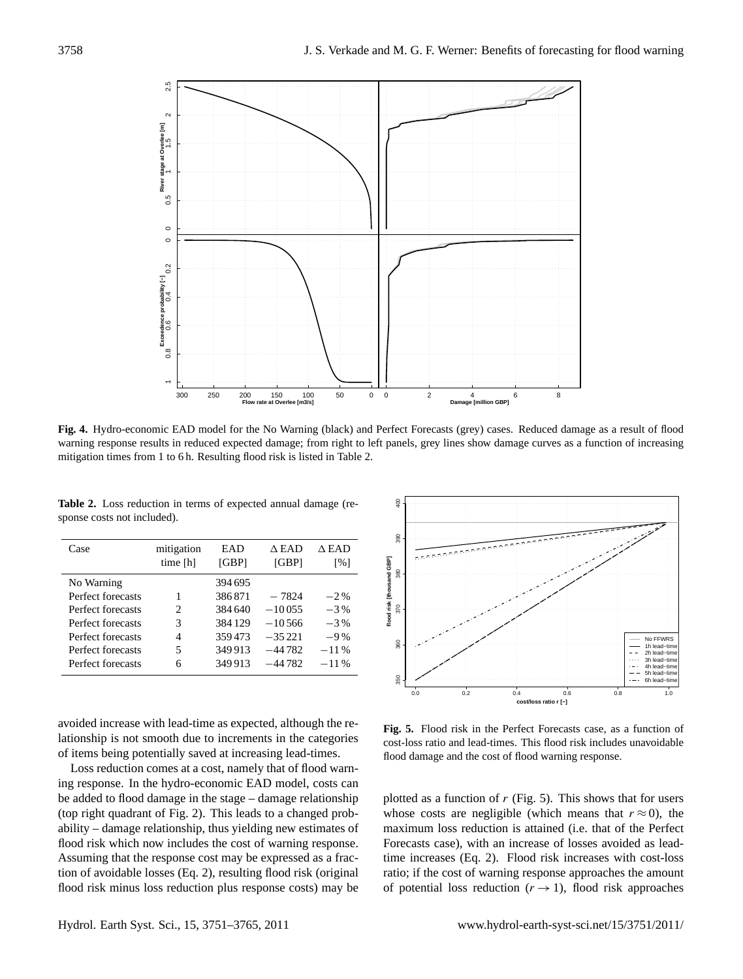

<span id="page-7-0"></span>**Fig. 4.** Hydro-economic EAD model for the No Warning (black) and Perfect Forecasts (grey) cases. Reduced damage as a result of flood warning response results in reduced expected damage; from right to left panels, grey lines show damage curves as a function of increasing mitigation times from 1 to 6h. Resulting flood risk is listed in Table [2.](#page-7-1)

<span id="page-7-1"></span>**Table 2.** Loss reduction in terms of expected annual damage (response costs not included).

| Case              | mitigation<br>time [h] | EAD<br>[GBP] | $\triangle$ EAD<br>[GBP] | $\triangle$ EAD<br>[%] |
|-------------------|------------------------|--------------|--------------------------|------------------------|
| No Warning        |                        | 394 695      |                          |                        |
| Perfect forecasts |                        | 386871       | $-7824$                  | $-2\%$                 |
| Perfect forecasts | 2                      | 384 640      | $-10055$                 | $-3\%$                 |
| Perfect forecasts | 3                      | 384 129      | $-10566$                 | $-3\%$                 |
| Perfect forecasts | 4                      | 359473       | $-35221$                 | $-9%$                  |
| Perfect forecasts | 5                      | 349913       | $-44782$                 | $-11%$                 |
| Perfect forecasts | 6                      | 349913       | $-44782$                 | $-11\%$                |

avoided increase with lead-time as expected, although the relationship is not smooth due to increments in the categories of items being potentially saved at increasing lead-times.

Loss reduction comes at a cost, namely that of flood warning response. In the hydro-economic EAD model, costs can be added to flood damage in the stage – damage relationship (top right quadrant of Fig. [2\)](#page-3-0). This leads to a changed probability – damage relationship, thus yielding new estimates of flood risk which now includes the cost of warning response. Assuming that the response cost may be expressed as a fraction of avoidable losses (Eq. [2\)](#page-3-1), resulting flood risk (original flood risk minus loss reduction plus response costs) may be



<span id="page-7-2"></span>**Fig. 5.** Flood risk in the Perfect Forecasts case, as a function of cost-loss ratio and lead-times. This flood risk includes unavoidable flood damage and the cost of flood warning response.

plotted as a function of  $r$  (Fig. [5\)](#page-7-2). This shows that for users whose costs are negligible (which means that  $r \approx 0$ ), the maximum loss reduction is attained (i.e. that of the Perfect Forecasts case), with an increase of losses avoided as leadtime increases (Eq. [2\)](#page-7-1). Flood risk increases with cost-loss ratio; if the cost of warning response approaches the amount of potential loss reduction  $(r \rightarrow 1)$ , flood risk approaches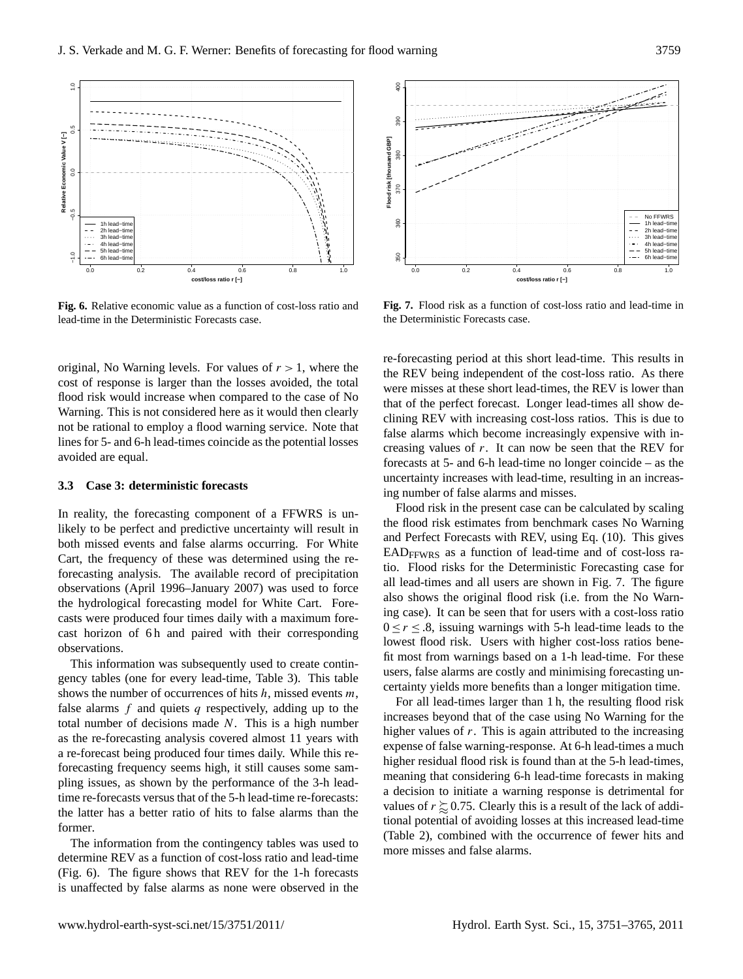

<span id="page-8-0"></span>**Fig. 6.** Relative economic value as a function of cost-loss ratio and lead-time in the Deterministic Forecasts case.

original, No Warning levels. For values of  $r > 1$ , where the cost of response is larger than the losses avoided, the total flood risk would increase when compared to the case of No Warning. This is not considered here as it would then clearly not be rational to employ a flood warning service. Note that lines for 5- and 6-h lead-times coincide as the potential losses avoided are equal.

#### <span id="page-8-2"></span>**3.3 Case 3: deterministic forecasts**

In reality, the forecasting component of a FFWRS is unlikely to be perfect and predictive uncertainty will result in both missed events and false alarms occurring. For White Cart, the frequency of these was determined using the reforecasting analysis. The available record of precipitation observations (April 1996–January 2007) was used to force the hydrological forecasting model for White Cart. Forecasts were produced four times daily with a maximum forecast horizon of 6h and paired with their corresponding observations.

This information was subsequently used to create contingency tables (one for every lead-time, Table [3\)](#page-9-0). This table shows the number of occurrences of hits  $h$ , missed events  $m$ , false alarms  $f$  and quiets  $q$  respectively, adding up to the total number of decisions made  $N$ . This is a high number as the re-forecasting analysis covered almost 11 years with a re-forecast being produced four times daily. While this reforecasting frequency seems high, it still causes some sampling issues, as shown by the performance of the 3-h leadtime re-forecasts versus that of the 5-h lead-time re-forecasts: the latter has a better ratio of hits to false alarms than the former.

The information from the contingency tables was used to determine REV as a function of cost-loss ratio and lead-time (Fig. [6\)](#page-8-0). The figure shows that REV for the 1-h forecasts is unaffected by false alarms as none were observed in the



<span id="page-8-1"></span>**Fig. 7.** Flood risk as a function of cost-loss ratio and lead-time in the Deterministic Forecasts case.

re-forecasting period at this short lead-time. This results in the REV being independent of the cost-loss ratio. As there were misses at these short lead-times, the REV is lower than that of the perfect forecast. Longer lead-times all show declining REV with increasing cost-loss ratios. This is due to false alarms which become increasingly expensive with increasing values of  $r$ . It can now be seen that the REV for forecasts at 5- and 6-h lead-time no longer coincide – as the uncertainty increases with lead-time, resulting in an increasing number of false alarms and misses.

Flood risk in the present case can be calculated by scaling the flood risk estimates from benchmark cases No Warning and Perfect Forecasts with REV, using Eq. [\(10\)](#page-5-0). This gives EADFFWRS as a function of lead-time and of cost-loss ratio. Flood risks for the Deterministic Forecasting case for all lead-times and all users are shown in Fig. [7.](#page-8-1) The figure also shows the original flood risk (i.e. from the No Warning case). It can be seen that for users with a cost-loss ratio  $0 \le r \le .8$ , issuing warnings with 5-h lead-time leads to the lowest flood risk. Users with higher cost-loss ratios benefit most from warnings based on a 1-h lead-time. For these users, false alarms are costly and minimising forecasting uncertainty yields more benefits than a longer mitigation time.

For all lead-times larger than 1 h, the resulting flood risk increases beyond that of the case using No Warning for the higher values of  $r$ . This is again attributed to the increasing expense of false warning-response. At 6-h lead-times a much higher residual flood risk is found than at the 5-h lead-times, meaning that considering 6-h lead-time forecasts in making a decision to initiate a warning response is detrimental for values of  $r \gtrsim 0.75$ . Clearly this is a result of the lack of additional potential of avoiding losses at this increased lead-time (Table [2\)](#page-7-1), combined with the occurrence of fewer hits and more misses and false alarms.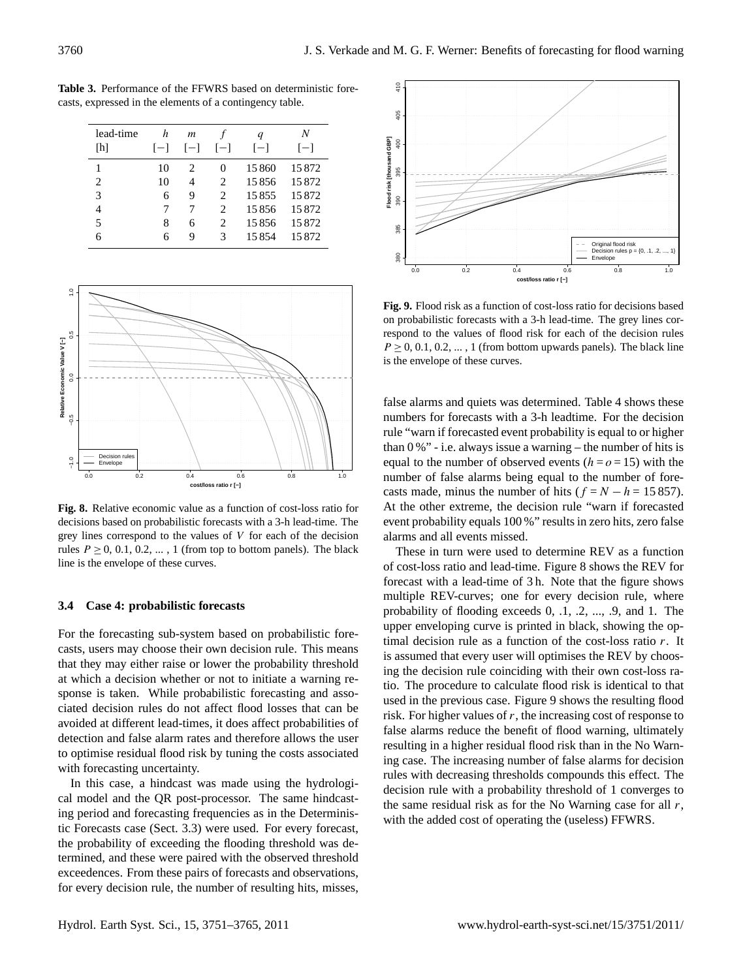lead-time  $h$  m  $f$  q N [h] [−] [−] [−] [−] [−] 1 10 2 0 15 860 15 872 2 10 4 2 15 856 15 872<br>3 6 9 2 15 855 15 872 3 6 9 2 15 855 15 872 4 7 7 2 15 856 15 872 5 8 6 2 15 856 15 872 6 6 9 3 15 854 15 872

<span id="page-9-0"></span>**Table 3.** Performance of the FFWRS based on deterministic fore-

casts, expressed in the elements of a contingency table.



<span id="page-9-1"></span>**Fig. 8.** Relative economic value as a function of cost-loss ratio for decisions based on probabilistic forecasts with a 3-h lead-time. The grey lines correspond to the values of V for each of the decision rules  $P \ge 0, 0.1, 0.2, \dots, 1$  (from top to bottom panels). The black line is the envelope of these curves.

#### **3.4 Case 4: probabilistic forecasts**

For the forecasting sub-system based on probabilistic forecasts, users may choose their own decision rule. This means that they may either raise or lower the probability threshold at which a decision whether or not to initiate a warning response is taken. While probabilistic forecasting and associated decision rules do not affect flood losses that can be avoided at different lead-times, it does affect probabilities of detection and false alarm rates and therefore allows the user to optimise residual flood risk by tuning the costs associated with forecasting uncertainty.

In this case, a hindcast was made using the hydrological model and the QR post-processor. The same hindcasting period and forecasting frequencies as in the Deterministic Forecasts case (Sect. [3.3\)](#page-8-2) were used. For every forecast, the probability of exceeding the flooding threshold was determined, and these were paired with the observed threshold exceedences. From these pairs of forecasts and observations, for every decision rule, the number of resulting hits, misses,



<span id="page-9-2"></span>**Fig. 9.** Flood risk as a function of cost-loss ratio for decisions based on probabilistic forecasts with a 3-h lead-time. The grey lines correspond to the values of flood risk for each of the decision rules  $P \ge 0, 0.1, 0.2, \dots, 1$  (from bottom upwards panels). The black line is the envelope of these curves.

false alarms and quiets was determined. Table 4 shows these numbers for forecasts with a 3-h leadtime. For the decision rule "warn if forecasted event probability is equal to or higher than  $0\%$ " - i.e. always issue a warning – the number of hits is equal to the number of observed events  $(h = 0 = 15)$  with the number of false alarms being equal to the number of forecasts made, minus the number of hits ( $f = N - h = 15857$ ). At the other extreme, the decision rule "warn if forecasted event probability equals 100 %" results in zero hits, zero false alarms and all events missed.

These in turn were used to determine REV as a function of cost-loss ratio and lead-time. Figure [8](#page-9-1) shows the REV for forecast with a lead-time of 3 h. Note that the figure shows multiple REV-curves; one for every decision rule, where probability of flooding exceeds 0, .1, .2, ..., .9, and 1. The upper enveloping curve is printed in black, showing the optimal decision rule as a function of the cost-loss ratio  $r$ . It is assumed that every user will optimises the REV by choosing the decision rule coinciding with their own cost-loss ratio. The procedure to calculate flood risk is identical to that used in the previous case. Figure [9](#page-9-2) shows the resulting flood risk. For higher values of  $r$ , the increasing cost of response to false alarms reduce the benefit of flood warning, ultimately resulting in a higher residual flood risk than in the No Warning case. The increasing number of false alarms for decision rules with decreasing thresholds compounds this effect. The decision rule with a probability threshold of 1 converges to the same residual risk as for the No Warning case for all  $r$ , with the added cost of operating the (useless) FFWRS.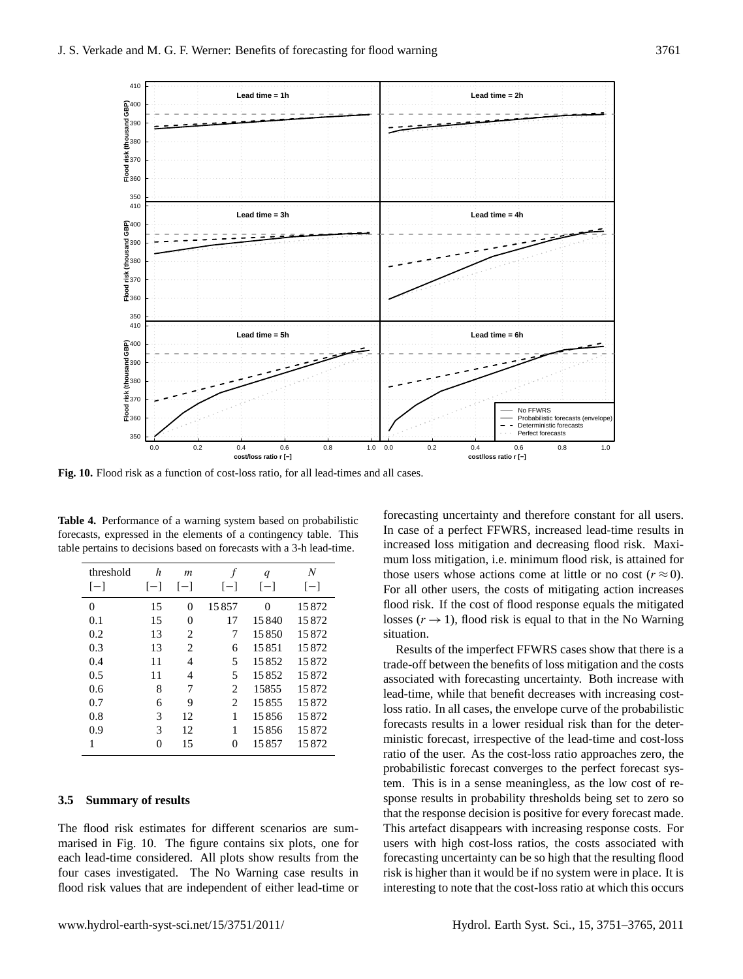

<span id="page-10-0"></span>**Fig. 10.** Flood risk as a function of cost-loss ratio, for all lead-times and all cases.

**Table 4.** Performance of a warning system based on probabilistic forecasts, expressed in the elements of a contingency table. This table pertains to decisions based on forecasts with a 3-h lead-time.

| threshold | h     | m     | f     | q        | N     |
|-----------|-------|-------|-------|----------|-------|
| $[-]$     | $ - $ | $[-]$ | $ - $ | $ - $    | $[-]$ |
| 0         | 15    | 0     | 15857 | $\theta$ | 15872 |
| 0.1       | 15    | 0     | 17    | 15840    | 15872 |
| 0.2       | 13    | 2     | 7     | 15850    | 15872 |
| 0.3       | 13    | 2     | 6     | 15851    | 15872 |
| 0.4       | 11    | 4     | 5     | 15852    | 15872 |
| 0.5       | 11    | 4     | 5     | 15852    | 15872 |
| 0.6       | 8     | 7     | 2     | 15855    | 15872 |
| 0.7       | 6     | 9     | 2     | 15855    | 15872 |
| 0.8       | 3     | 12    | 1     | 15856    | 15872 |
| 0.9       | 3     | 12    | 1     | 15856    | 15872 |
| 1         | 0     | 15    | 0     | 15857    | 15872 |

#### **3.5 Summary of results**

The flood risk estimates for different scenarios are summarised in Fig. [10.](#page-10-0) The figure contains six plots, one for each lead-time considered. All plots show results from the four cases investigated. The No Warning case results in flood risk values that are independent of either lead-time or forecasting uncertainty and therefore constant for all users. In case of a perfect FFWRS, increased lead-time results in increased loss mitigation and decreasing flood risk. Maximum loss mitigation, i.e. minimum flood risk, is attained for those users whose actions come at little or no cost  $(r \approx 0)$ . For all other users, the costs of mitigating action increases flood risk. If the cost of flood response equals the mitigated losses  $(r \rightarrow 1)$ , flood risk is equal to that in the No Warning situation.

Results of the imperfect FFWRS cases show that there is a trade-off between the benefits of loss mitigation and the costs associated with forecasting uncertainty. Both increase with lead-time, while that benefit decreases with increasing costloss ratio. In all cases, the envelope curve of the probabilistic forecasts results in a lower residual risk than for the deterministic forecast, irrespective of the lead-time and cost-loss ratio of the user. As the cost-loss ratio approaches zero, the probabilistic forecast converges to the perfect forecast system. This is in a sense meaningless, as the low cost of response results in probability thresholds being set to zero so that the response decision is positive for every forecast made. This artefact disappears with increasing response costs. For users with high cost-loss ratios, the costs associated with forecasting uncertainty can be so high that the resulting flood risk is higher than it would be if no system were in place. It is interesting to note that the cost-loss ratio at which this occurs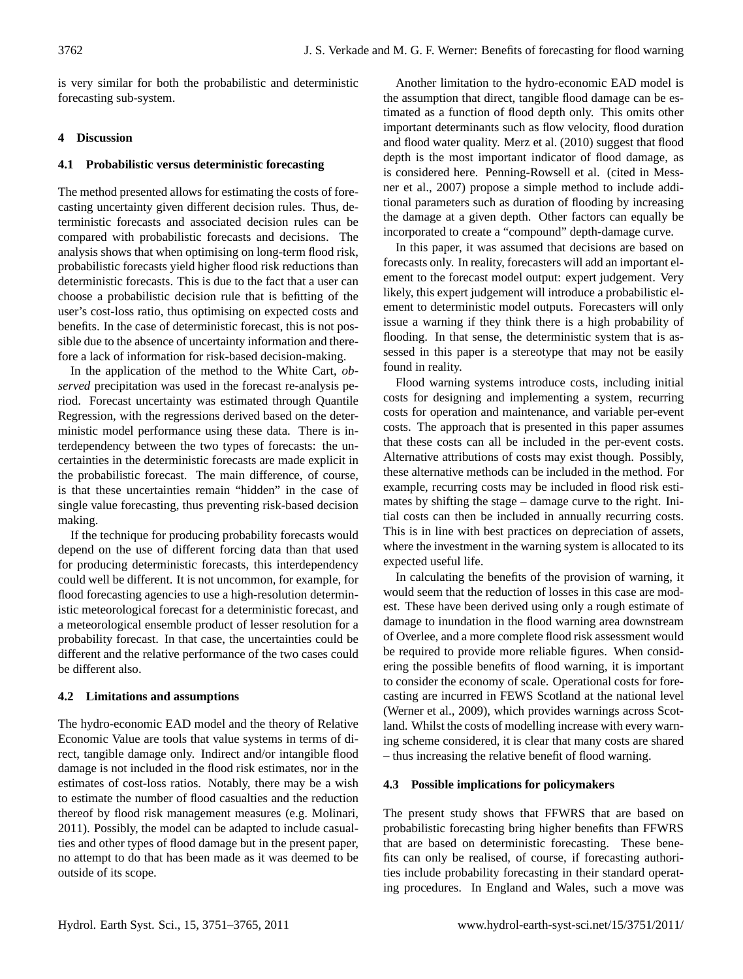is very similar for both the probabilistic and deterministic forecasting sub-system.

# <span id="page-11-0"></span>**4 Discussion**

# **4.1 Probabilistic versus deterministic forecasting**

The method presented allows for estimating the costs of forecasting uncertainty given different decision rules. Thus, deterministic forecasts and associated decision rules can be compared with probabilistic forecasts and decisions. The analysis shows that when optimising on long-term flood risk, probabilistic forecasts yield higher flood risk reductions than deterministic forecasts. This is due to the fact that a user can choose a probabilistic decision rule that is befitting of the user's cost-loss ratio, thus optimising on expected costs and benefits. In the case of deterministic forecast, this is not possible due to the absence of uncertainty information and therefore a lack of information for risk-based decision-making.

In the application of the method to the White Cart, *observed* precipitation was used in the forecast re-analysis period. Forecast uncertainty was estimated through Quantile Regression, with the regressions derived based on the deterministic model performance using these data. There is interdependency between the two types of forecasts: the uncertainties in the deterministic forecasts are made explicit in the probabilistic forecast. The main difference, of course, is that these uncertainties remain "hidden" in the case of single value forecasting, thus preventing risk-based decision making.

If the technique for producing probability forecasts would depend on the use of different forcing data than that used for producing deterministic forecasts, this interdependency could well be different. It is not uncommon, for example, for flood forecasting agencies to use a high-resolution deterministic meteorological forecast for a deterministic forecast, and a meteorological ensemble product of lesser resolution for a probability forecast. In that case, the uncertainties could be different and the relative performance of the two cases could be different also.

# **4.2 Limitations and assumptions**

The hydro-economic EAD model and the theory of Relative Economic Value are tools that value systems in terms of direct, tangible damage only. Indirect and/or intangible flood damage is not included in the flood risk estimates, nor in the estimates of cost-loss ratios. Notably, there may be a wish to estimate the number of flood casualties and the reduction thereof by flood risk management measures (e.g. [Molinari,](#page-13-25) [2011\)](#page-13-25). Possibly, the model can be adapted to include casualties and other types of flood damage but in the present paper, no attempt to do that has been made as it was deemed to be outside of its scope.

Another limitation to the hydro-economic EAD model is the assumption that direct, tangible flood damage can be estimated as a function of flood depth only. This omits other important determinants such as flow velocity, flood duration and flood water quality. [Merz et al.](#page-13-0) [\(2010\)](#page-13-0) suggest that flood depth is the most important indicator of flood damage, as is considered here. [Penning-Rowsell et al.](#page-13-24) (cited in [Mess](#page-13-26)[ner et al.,](#page-13-26) [2007\)](#page-13-26) propose a simple method to include additional parameters such as duration of flooding by increasing the damage at a given depth. Other factors can equally be incorporated to create a "compound" depth-damage curve.

In this paper, it was assumed that decisions are based on forecasts only. In reality, forecasters will add an important element to the forecast model output: expert judgement. Very likely, this expert judgement will introduce a probabilistic element to deterministic model outputs. Forecasters will only issue a warning if they think there is a high probability of flooding. In that sense, the deterministic system that is assessed in this paper is a stereotype that may not be easily found in reality.

Flood warning systems introduce costs, including initial costs for designing and implementing a system, recurring costs for operation and maintenance, and variable per-event costs. The approach that is presented in this paper assumes that these costs can all be included in the per-event costs. Alternative attributions of costs may exist though. Possibly, these alternative methods can be included in the method. For example, recurring costs may be included in flood risk estimates by shifting the stage – damage curve to the right. Initial costs can then be included in annually recurring costs. This is in line with best practices on depreciation of assets, where the investment in the warning system is allocated to its expected useful life.

In calculating the benefits of the provision of warning, it would seem that the reduction of losses in this case are modest. These have been derived using only a rough estimate of damage to inundation in the flood warning area downstream of Overlee, and a more complete flood risk assessment would be required to provide more reliable figures. When considering the possible benefits of flood warning, it is important to consider the economy of scale. Operational costs for forecasting are incurred in FEWS Scotland at the national level [\(Werner et al.,](#page-14-3) [2009\)](#page-14-3), which provides warnings across Scotland. Whilst the costs of modelling increase with every warning scheme considered, it is clear that many costs are shared – thus increasing the relative benefit of flood warning.

# **4.3 Possible implications for policymakers**

The present study shows that FFWRS that are based on probabilistic forecasting bring higher benefits than FFWRS that are based on deterministic forecasting. These benefits can only be realised, of course, if forecasting authorities include probability forecasting in their standard operating procedures. In England and Wales, such a move was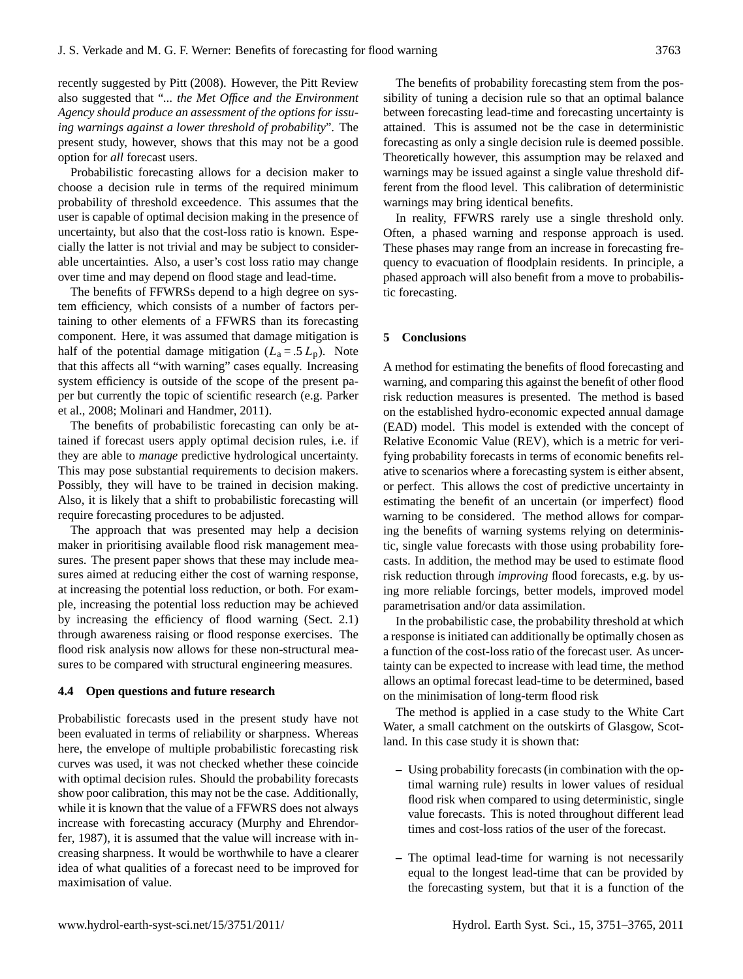recently suggested by [Pitt](#page-13-27) [\(2008\)](#page-13-27). However, the Pitt Review also suggested that "*... the Met Office and the Environment Agency should produce an assessment of the options for issuing warnings against a lower threshold of probability*". The present study, however, shows that this may not be a good option for *all* forecast users.

Probabilistic forecasting allows for a decision maker to choose a decision rule in terms of the required minimum probability of threshold exceedence. This assumes that the user is capable of optimal decision making in the presence of uncertainty, but also that the cost-loss ratio is known. Especially the latter is not trivial and may be subject to considerable uncertainties. Also, a user's cost loss ratio may change over time and may depend on flood stage and lead-time.

The benefits of FFWRSs depend to a high degree on system efficiency, which consists of a number of factors pertaining to other elements of a FFWRS than its forecasting component. Here, it was assumed that damage mitigation is half of the potential damage mitigation  $(L_a = .5 L_p)$ . Note that this affects all "with warning" cases equally. Increasing system efficiency is outside of the scope of the present paper but currently the topic of scientific research (e.g. [Parker](#page-13-4) [et al.,](#page-13-4) [2008;](#page-13-4) [Molinari and Handmer,](#page-13-5) [2011\)](#page-13-5).

The benefits of probabilistic forecasting can only be attained if forecast users apply optimal decision rules, i.e. if they are able to *manage* predictive hydrological uncertainty. This may pose substantial requirements to decision makers. Possibly, they will have to be trained in decision making. Also, it is likely that a shift to probabilistic forecasting will require forecasting procedures to be adjusted.

The approach that was presented may help a decision maker in prioritising available flood risk management measures. The present paper shows that these may include measures aimed at reducing either the cost of warning response, at increasing the potential loss reduction, or both. For example, increasing the potential loss reduction may be achieved by increasing the efficiency of flood warning (Sect. [2.1\)](#page-1-1) through awareness raising or flood response exercises. The flood risk analysis now allows for these non-structural measures to be compared with structural engineering measures.

#### **4.4 Open questions and future research**

Probabilistic forecasts used in the present study have not been evaluated in terms of reliability or sharpness. Whereas here, the envelope of multiple probabilistic forecasting risk curves was used, it was not checked whether these coincide with optimal decision rules. Should the probability forecasts show poor calibration, this may not be the case. Additionally, while it is known that the value of a FFWRS does not always increase with forecasting accuracy [\(Murphy and Ehrendor](#page-13-28)[fer,](#page-13-28) [1987\)](#page-13-28), it is assumed that the value will increase with increasing sharpness. It would be worthwhile to have a clearer idea of what qualities of a forecast need to be improved for maximisation of value.

The benefits of probability forecasting stem from the possibility of tuning a decision rule so that an optimal balance between forecasting lead-time and forecasting uncertainty is attained. This is assumed not be the case in deterministic forecasting as only a single decision rule is deemed possible. Theoretically however, this assumption may be relaxed and warnings may be issued against a single value threshold different from the flood level. This calibration of deterministic warnings may bring identical benefits.

In reality, FFWRS rarely use a single threshold only. Often, a phased warning and response approach is used. These phases may range from an increase in forecasting frequency to evacuation of floodplain residents. In principle, a phased approach will also benefit from a move to probabilistic forecasting.

## <span id="page-12-0"></span>**5 Conclusions**

A method for estimating the benefits of flood forecasting and warning, and comparing this against the benefit of other flood risk reduction measures is presented. The method is based on the established hydro-economic expected annual damage (EAD) model. This model is extended with the concept of Relative Economic Value (REV), which is a metric for verifying probability forecasts in terms of economic benefits relative to scenarios where a forecasting system is either absent, or perfect. This allows the cost of predictive uncertainty in estimating the benefit of an uncertain (or imperfect) flood warning to be considered. The method allows for comparing the benefits of warning systems relying on deterministic, single value forecasts with those using probability forecasts. In addition, the method may be used to estimate flood risk reduction through *improving* flood forecasts, e.g. by using more reliable forcings, better models, improved model parametrisation and/or data assimilation.

In the probabilistic case, the probability threshold at which a response is initiated can additionally be optimally chosen as a function of the cost-loss ratio of the forecast user. As uncertainty can be expected to increase with lead time, the method allows an optimal forecast lead-time to be determined, based on the minimisation of long-term flood risk

The method is applied in a case study to the White Cart Water, a small catchment on the outskirts of Glasgow, Scotland. In this case study it is shown that:

- **–** Using probability forecasts (in combination with the optimal warning rule) results in lower values of residual flood risk when compared to using deterministic, single value forecasts. This is noted throughout different lead times and cost-loss ratios of the user of the forecast.
- **–** The optimal lead-time for warning is not necessarily equal to the longest lead-time that can be provided by the forecasting system, but that it is a function of the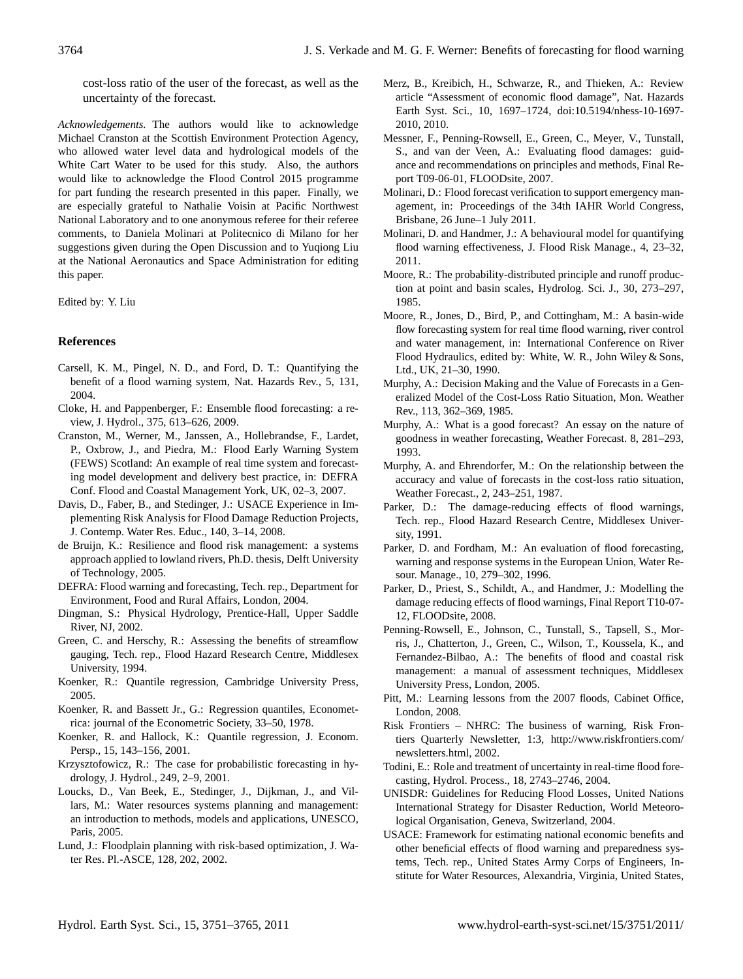cost-loss ratio of the user of the forecast, as well as the uncertainty of the forecast.

*Acknowledgements.* The authors would like to acknowledge Michael Cranston at the Scottish Environment Protection Agency, who allowed water level data and hydrological models of the White Cart Water to be used for this study. Also, the authors would like to acknowledge the Flood Control 2015 programme for part funding the research presented in this paper. Finally, we are especially grateful to Nathalie Voisin at Pacific Northwest National Laboratory and to one anonymous referee for their referee comments, to Daniela Molinari at Politecnico di Milano for her suggestions given during the Open Discussion and to Yuqiong Liu at the National Aeronautics and Space Administration for editing this paper.

Edited by: Y. Liu

## **References**

- <span id="page-13-3"></span>Carsell, K. M., Pingel, N. D., and Ford, D. T.: Quantifying the benefit of a flood warning system, Nat. Hazards Rev., 5, 131, 2004.
- Cloke, H. and Pappenberger, F.: Ensemble flood forecasting: a review, J. Hydrol., 375, 613–626, 2009.
- <span id="page-13-17"></span>Cranston, M., Werner, M., Janssen, A., Hollebrandse, F., Lardet, P., Oxbrow, J., and Piedra, M.: Flood Early Warning System (FEWS) Scotland: An example of real time system and forecasting model development and delivery best practice, in: DEFRA Conf. Flood and Coastal Management York, UK, 02–3, 2007.
- <span id="page-13-16"></span>Davis, D., Faber, B., and Stedinger, J.: USACE Experience in Implementing Risk Analysis for Flood Damage Reduction Projects, J. Contemp. Water Res. Educ., 140, 3–14, 2008.
- <span id="page-13-15"></span>de Bruijn, K.: Resilience and flood risk management: a systems approach applied to lowland rivers, Ph.D. thesis, Delft University of Technology, 2005.
- <span id="page-13-14"></span>DEFRA: Flood warning and forecasting, Tech. rep., Department for Environment, Food and Rural Affairs, London, 2004.
- <span id="page-13-7"></span>Dingman, S.: Physical Hydrology, Prentice-Hall, Upper Saddle River, NJ, 2002.
- <span id="page-13-13"></span>Green, C. and Herschy, R.: Assessing the benefits of streamflow gauging, Tech. rep., Flood Hazard Research Centre, Middlesex University, 1994.
- <span id="page-13-23"></span>Koenker, R.: Quantile regression, Cambridge University Press, 2005.
- <span id="page-13-21"></span>Koenker, R. and Bassett Jr., G.: Regression quantiles, Econometrica: journal of the Econometric Society, 33–50, 1978.
- <span id="page-13-22"></span>Koenker, R. and Hallock, K.: Quantile regression, J. Econom. Persp., 15, 143–156, 2001.
- <span id="page-13-11"></span>Krzysztofowicz, R.: The case for probabilistic forecasting in hydrology, J. Hydrol., 249, 2–9, 2001.
- <span id="page-13-8"></span>Loucks, D., Van Beek, E., Stedinger, J., Dijkman, J., and Villars, M.: Water resources systems planning and management: an introduction to methods, models and applications, UNESCO, Paris, 2005.
- Lund, J.: Floodplain planning with risk-based optimization, J. Water Res. Pl.-ASCE, 128, 202, 2002.
- <span id="page-13-0"></span>Merz, B., Kreibich, H., Schwarze, R., and Thieken, A.: Review article "Assessment of economic flood damage", Nat. Hazards Earth Syst. Sci., 10, 1697–1724, [doi:10.5194/nhess-10-1697-](http://dx.doi.org/10.5194/nhess-10-1697-2010) [2010,](http://dx.doi.org/10.5194/nhess-10-1697-2010) 2010.
- <span id="page-13-26"></span>Messner, F., Penning-Rowsell, E., Green, C., Meyer, V., Tunstall, S., and van der Veen, A.: Evaluating flood damages: guidance and recommendations on principles and methods, Final Report T09-06-01, FLOODsite, 2007.
- <span id="page-13-25"></span>Molinari, D.: Flood forecast verification to support emergency management, in: Proceedings of the 34th IAHR World Congress, Brisbane, 26 June–1 July 2011.
- <span id="page-13-5"></span>Molinari, D. and Handmer, J.: A behavioural model for quantifying flood warning effectiveness, J. Flood Risk Manage., 4, 23–32, 2011.
- <span id="page-13-19"></span>Moore, R.: The probability-distributed principle and runoff production at point and basin scales, Hydrolog. Sci. J., 30, 273–297, 1985.
- <span id="page-13-20"></span>Moore, R., Jones, D., Bird, P., and Cottingham, M.: A basin-wide flow forecasting system for real time flood warning, river control and water management, in: International Conference on River Flood Hydraulics, edited by: White, W. R., John Wiley & Sons, Ltd., UK, 21–30, 1990.
- <span id="page-13-9"></span>Murphy, A.: Decision Making and the Value of Forecasts in a Generalized Model of the Cost-Loss Ratio Situation, Mon. Weather Rev., 113, 362–369, 1985.
- Murphy, A.: What is a good forecast? An essay on the nature of goodness in weather forecasting, Weather Forecast. 8, 281–293, 1993.
- <span id="page-13-28"></span>Murphy, A. and Ehrendorfer, M.: On the relationship between the accuracy and value of forecasts in the cost-loss ratio situation, Weather Forecast., 2, 243–251, 1987.
- <span id="page-13-2"></span>Parker, D.: The damage-reducing effects of flood warnings, Tech. rep., Flood Hazard Research Centre, Middlesex University, 1991.
- <span id="page-13-10"></span>Parker, D. and Fordham, M.: An evaluation of flood forecasting, warning and response systems in the European Union, Water Resour. Manage., 10, 279–302, 1996.
- <span id="page-13-4"></span>Parker, D., Priest, S., Schildt, A., and Handmer, J.: Modelling the damage reducing effects of flood warnings, Final Report T10-07- 12, FLOODsite, 2008.
- <span id="page-13-24"></span>Penning-Rowsell, E., Johnson, C., Tunstall, S., Tapsell, S., Morris, J., Chatterton, J., Green, C., Wilson, T., Koussela, K., and Fernandez-Bilbao, A.: The benefits of flood and coastal risk management: a manual of assessment techniques, Middlesex University Press, London, 2005.
- <span id="page-13-27"></span>Pitt, M.: Learning lessons from the 2007 floods, Cabinet Office, London, 2008.
- <span id="page-13-18"></span>Risk Frontiers – NHRC: The business of warning, Risk Frontiers Quarterly Newsletter, 1:3, [http://www.riskfrontiers.com/](http://www.riskfrontiers.com/newsletters.html) [newsletters.html,](http://www.riskfrontiers.com/newsletters.html) 2002.
- <span id="page-13-12"></span>Todini, E.: Role and treatment of uncertainty in real-time flood forecasting, Hydrol. Process., 18, 2743–2746, 2004.
- <span id="page-13-1"></span>UNISDR: Guidelines for Reducing Flood Losses, United Nations International Strategy for Disaster Reduction, World Meteorological Organisation, Geneva, Switzerland, 2004.
- <span id="page-13-6"></span>USACE: Framework for estimating national economic benefits and other beneficial effects of flood warning and preparedness systems, Tech. rep., United States Army Corps of Engineers, Institute for Water Resources, Alexandria, Virginia, United States,